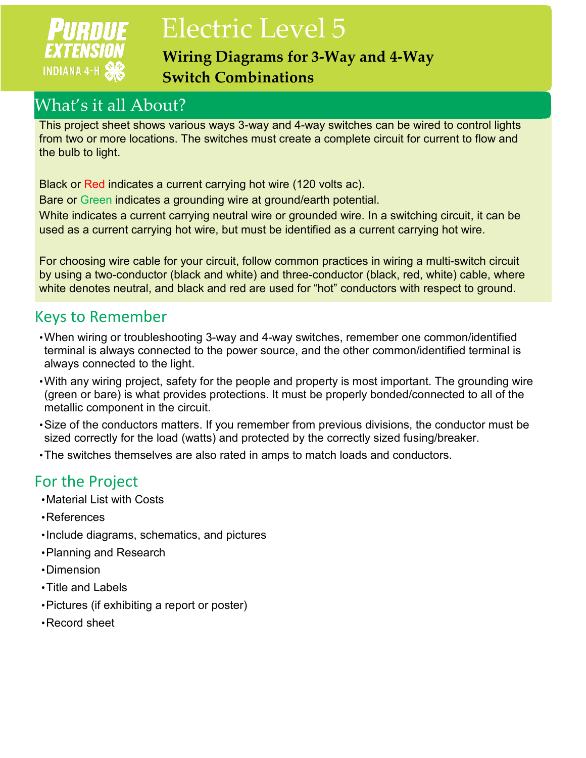# **PURDUE EXTENSION INDIANA 4-H**

# Electric Level 5

**Wiring Diagrams for 3-Way and 4-Way Switch Combinations**

# What's it all About?

This project sheet shows various ways 3-way and 4-way switches can be wired to control lights from two or more locations. The switches must create a complete circuit for current to flow and the bulb to light.

Black or Red indicates a current carrying hot wire (120 volts ac).

Bare or Green indicates a grounding wire at ground/earth potential.

White indicates a current carrying neutral wire or grounded wire. In a switching circuit, it can be used as a current carrying hot wire, but must be identified as a current carrying hot wire.

For choosing wire cable for your circuit, follow common practices in wiring a multi-switch circuit by using a two-conductor (black and white) and three-conductor (black, red, white) cable, where white denotes neutral, and black and red are used for "hot" conductors with respect to ground.

## Keys to Remember

- •When wiring or troubleshooting 3-way and 4-way switches, remember one common/identified terminal is always connected to the power source, and the other common/identified terminal is always connected to the light.
- •With any wiring project, safety for the people and property is most important. The grounding wire (green or bare) is what provides protections. It must be properly bonded/connected to all of the metallic component in the circuit.
- •Size of the conductors matters. If you remember from previous divisions, the conductor must be sized correctly for the load (watts) and protected by the correctly sized fusing/breaker.
- •The switches themselves are also rated in amps to match loads and conductors.

# For the Project

- •Material List with Costs
- •References
- •Include diagrams, schematics, and pictures
- •Planning and Research
- •Dimension
- •Title and Labels
- •Pictures (if exhibiting a report or poster)
- •Record sheet